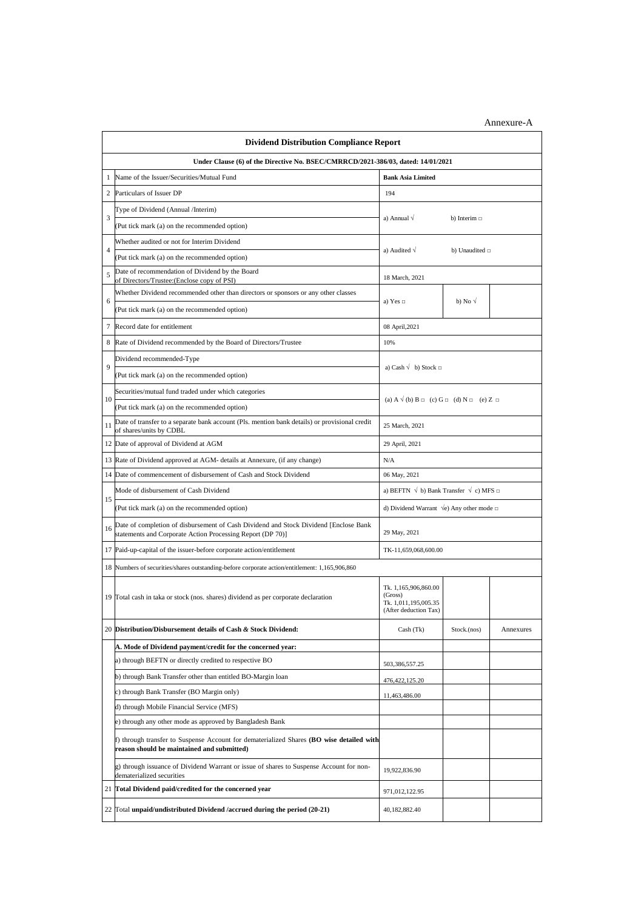| <b>Dividend Distribution Compliance Report</b>                                   |                                                                                                                                                    |                                                                                  |                  |           |  |  |  |  |
|----------------------------------------------------------------------------------|----------------------------------------------------------------------------------------------------------------------------------------------------|----------------------------------------------------------------------------------|------------------|-----------|--|--|--|--|
| Under Clause (6) of the Directive No. BSEC/CMRRCD/2021-386/03, dated: 14/01/2021 |                                                                                                                                                    |                                                                                  |                  |           |  |  |  |  |
| 1                                                                                | Name of the Issuer/Securities/Mutual Fund                                                                                                          | <b>Bank Asia Limited</b>                                                         |                  |           |  |  |  |  |
| $\overline{c}$                                                                   | Particulars of Issuer DP                                                                                                                           | 194                                                                              |                  |           |  |  |  |  |
| 3                                                                                | Type of Dividend (Annual /Interim)                                                                                                                 |                                                                                  |                  |           |  |  |  |  |
|                                                                                  | (Put tick mark (a) on the recommended option)                                                                                                      | a) Annual $\sqrt{}$<br>b) Interim $\Box$                                         |                  |           |  |  |  |  |
| $\overline{4}$                                                                   | Whether audited or not for Interim Dividend                                                                                                        | a) Audited $\sqrt{}$<br>b) Unaudited $\Box$                                      |                  |           |  |  |  |  |
|                                                                                  | (Put tick mark (a) on the recommended option)                                                                                                      |                                                                                  |                  |           |  |  |  |  |
| 5                                                                                | Date of recommendation of Dividend by the Board<br>of Directors/Trustee: (Enclose copy of PSI)                                                     | 18 March, 2021                                                                   |                  |           |  |  |  |  |
|                                                                                  | Whether Dividend recommended other than directors or sponsors or any other classes                                                                 |                                                                                  |                  |           |  |  |  |  |
| 6                                                                                | (Put tick mark (a) on the recommended option)                                                                                                      | a) Yes $\Box$                                                                    | b) No $\sqrt{ }$ |           |  |  |  |  |
| 7                                                                                | Record date for entitlement                                                                                                                        | 08 April, 2021                                                                   |                  |           |  |  |  |  |
| 8                                                                                | Rate of Dividend recommended by the Board of Directors/Trustee                                                                                     | 10%                                                                              |                  |           |  |  |  |  |
|                                                                                  | Dividend recommended-Type                                                                                                                          |                                                                                  |                  |           |  |  |  |  |
| 9                                                                                | (Put tick mark (a) on the recommended option)                                                                                                      | a) Cash $\sqrt{\ }$ b) Stock $\Box$                                              |                  |           |  |  |  |  |
|                                                                                  | Securities/mutual fund traded under which categories                                                                                               | (a) $A \vee (b) B \square$ (c) $G \square$ (d) $N \square$ (e) Z $\square$       |                  |           |  |  |  |  |
| 10                                                                               | (Put tick mark (a) on the recommended option)                                                                                                      |                                                                                  |                  |           |  |  |  |  |
| 11                                                                               | Date of transfer to a separate bank account (Pls. mention bank details) or provisional credit<br>of shares/units by CDBL                           | 25 March, 2021                                                                   |                  |           |  |  |  |  |
| 12                                                                               | Date of approval of Dividend at AGM                                                                                                                | 29 April, 2021                                                                   |                  |           |  |  |  |  |
| 13                                                                               | Rate of Dividend approved at AGM- details at Annexure, (if any change)                                                                             | N/A                                                                              |                  |           |  |  |  |  |
| 14                                                                               | Date of commencement of disbursement of Cash and Stock Dividend                                                                                    | 06 May, 2021                                                                     |                  |           |  |  |  |  |
|                                                                                  | Mode of disbursement of Cash Dividend                                                                                                              | a) BEFTN $\sqrt{b}$ ) Bank Transfer $\sqrt{c}$ ) MFS $\Box$                      |                  |           |  |  |  |  |
| 15                                                                               | (Put tick mark (a) on the recommended option)                                                                                                      | d) Dividend Warrant $\sqrt{e}$ ) Any other mode $\Box$                           |                  |           |  |  |  |  |
| 16                                                                               | Date of completion of disbursement of Cash Dividend and Stock Dividend [Enclose Bank<br>statements and Corporate Action Processing Report (DP 70)] | 29 May, 2021                                                                     |                  |           |  |  |  |  |
|                                                                                  | 17 Paid-up-capital of the issuer-before corporate action/entitlement                                                                               | TK-11,659,068,600.00                                                             |                  |           |  |  |  |  |
|                                                                                  | 18 Numbers of securities/shares outstanding-before corporate action/entitlement: 1,165,906,860                                                     |                                                                                  |                  |           |  |  |  |  |
|                                                                                  | 19 Total cash in taka or stock (nos. shares) dividend as per corporate declaration                                                                 | Tk. 1,165,906,860.00<br>(Gross)<br>Tk. 1,011,195,005.35<br>(After deduction Tax) |                  |           |  |  |  |  |
|                                                                                  | 20 Distribution/Disbursement details of Cash & Stock Dividend:                                                                                     | Cash (Tk)                                                                        | Stock.(nos)      | Annexures |  |  |  |  |
|                                                                                  | A. Mode of Dividend payment/credit for the concerned year:                                                                                         |                                                                                  |                  |           |  |  |  |  |
|                                                                                  | a) through BEFTN or directly credited to respective BO                                                                                             | 503,386,557.25                                                                   |                  |           |  |  |  |  |
|                                                                                  | b) through Bank Transfer other than entitled BO-Margin loan                                                                                        | 476, 422, 125.20                                                                 |                  |           |  |  |  |  |
|                                                                                  | c) through Bank Transfer (BO Margin only)                                                                                                          | 11,463,486.00                                                                    |                  |           |  |  |  |  |
|                                                                                  | d) through Mobile Financial Service (MFS)                                                                                                          |                                                                                  |                  |           |  |  |  |  |
|                                                                                  | e) through any other mode as approved by Bangladesh Bank                                                                                           |                                                                                  |                  |           |  |  |  |  |
|                                                                                  | f) through transfer to Suspense Account for dematerialized Shares (BO wise detailed with<br>reason should be maintained and submitted)             |                                                                                  |                  |           |  |  |  |  |
|                                                                                  | g) through issuance of Dividend Warrant or issue of shares to Suspense Account for non-<br>dematerialized securities                               | 19,922,836.90                                                                    |                  |           |  |  |  |  |
| 21                                                                               | Total Dividend paid/credited for the concerned year                                                                                                | 971,012,122.95                                                                   |                  |           |  |  |  |  |
|                                                                                  | 22 Total unpaid/undistributed Dividend /accrued during the period (20-21)                                                                          | 40,182,882.40                                                                    |                  |           |  |  |  |  |